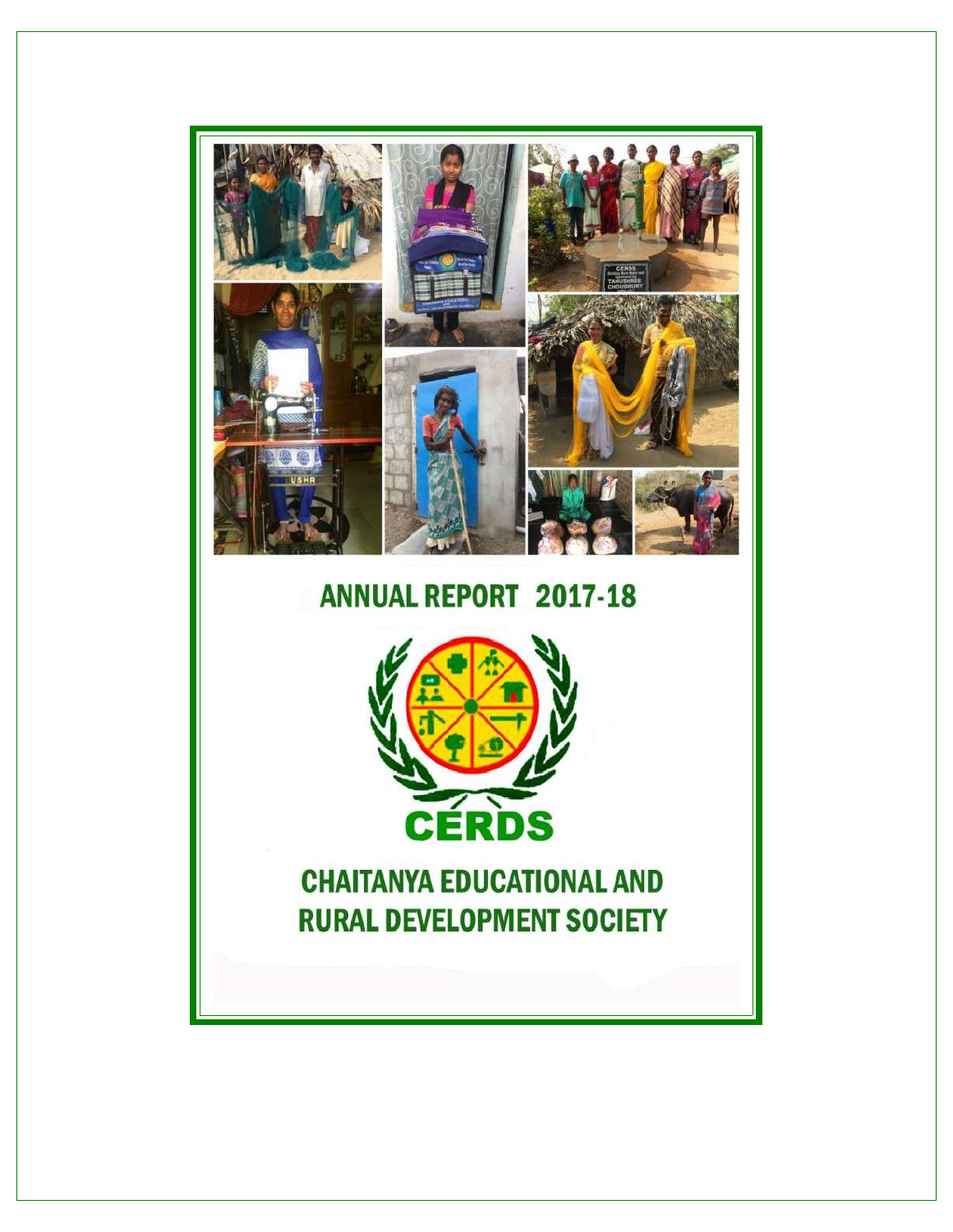

# **ANNUAL REPORT 2017-18**



**CHAITANYA EDUCATIONAL AND RURAL DEVELOPMENT SOCIETY**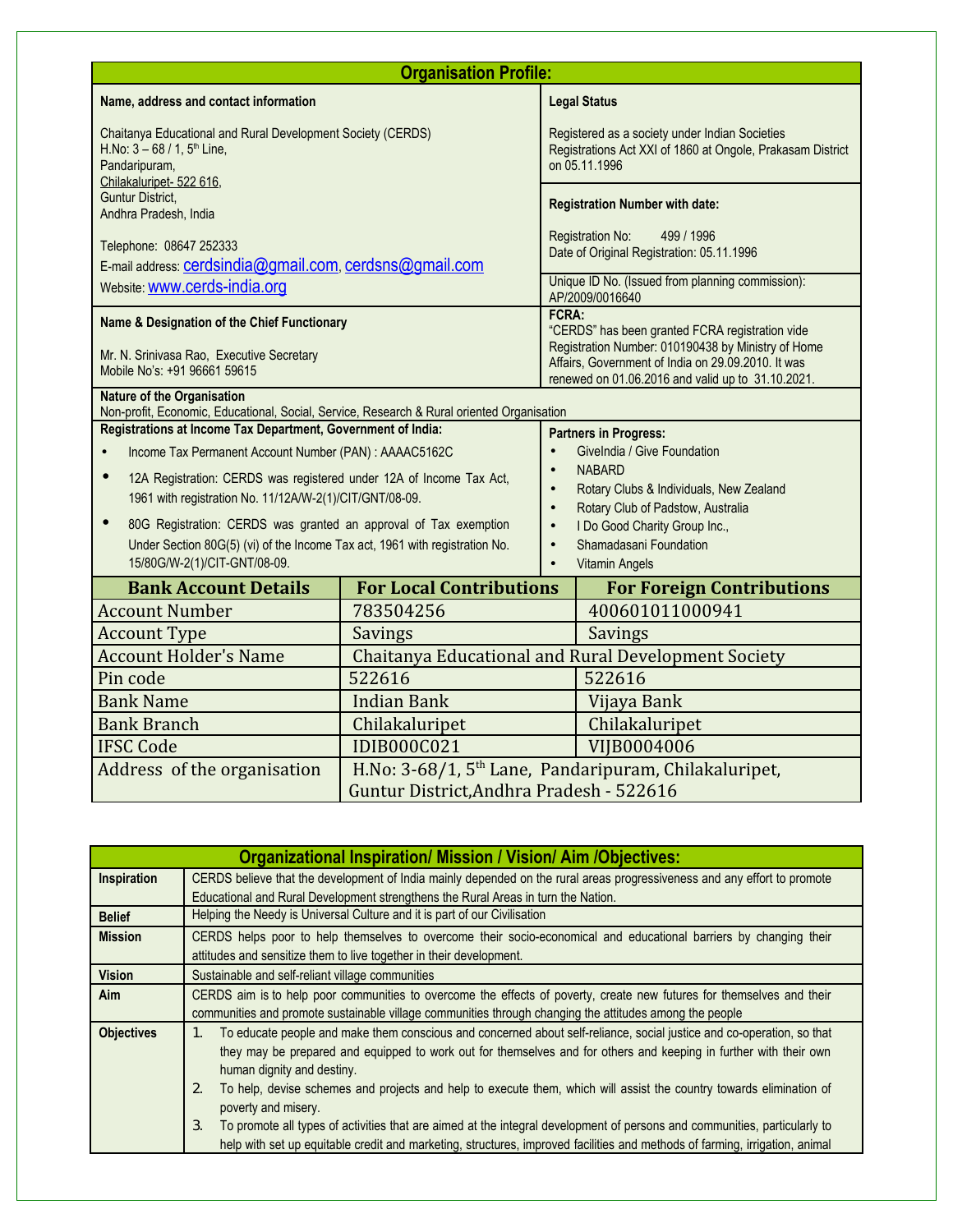| <b>Organisation Profile:</b>                                                                                                                |                                                                                            |                                            |                                                                                                                               |  |
|---------------------------------------------------------------------------------------------------------------------------------------------|--------------------------------------------------------------------------------------------|--------------------------------------------|-------------------------------------------------------------------------------------------------------------------------------|--|
| Name, address and contact information                                                                                                       |                                                                                            |                                            | <b>Legal Status</b>                                                                                                           |  |
| H.No: $3 - 68 / 1$ , $5th$ Line,<br>Pandaripuram,<br>Chilakaluripet- 522 616,                                                               | Chaitanya Educational and Rural Development Society (CERDS)                                |                                            | Registered as a society under Indian Societies<br>Registrations Act XXI of 1860 at Ongole, Prakasam District<br>on 05.11.1996 |  |
| <b>Guntur District,</b><br>Andhra Pradesh, India                                                                                            |                                                                                            |                                            | <b>Registration Number with date:</b>                                                                                         |  |
| Telephone: 08647 252333<br>E-mail address: cerdsindia@gmail.com, cerdsns@gmail.com                                                          |                                                                                            |                                            | Registration No:<br>499 / 1996<br>Date of Original Registration: 05.11.1996                                                   |  |
| Website: <b>WWW.cerds-india.org</b>                                                                                                         |                                                                                            |                                            | Unique ID No. (Issued from planning commission):<br>AP/2009/0016640                                                           |  |
| Name & Designation of the Chief Functionary                                                                                                 |                                                                                            | FCRA:                                      | "CERDS" has been granted FCRA registration vide<br>Registration Number: 010190438 by Ministry of Home                         |  |
| Mr. N. Srinivasa Rao, Executive Secretary<br>Mobile No's: +91 96661 59615                                                                   |                                                                                            |                                            | Affairs, Government of India on 29.09.2010. It was<br>renewed on 01.06.2016 and valid up to 31.10.2021.                       |  |
| <b>Nature of the Organisation</b>                                                                                                           | Non-profit, Economic, Educational, Social, Service, Research & Rural oriented Organisation |                                            |                                                                                                                               |  |
| Registrations at Income Tax Department, Government of India:                                                                                |                                                                                            |                                            | <b>Partners in Progress:</b>                                                                                                  |  |
| Income Tax Permanent Account Number (PAN) : AAAAC5162C                                                                                      |                                                                                            | $\bullet$                                  | Givelndia / Give Foundation                                                                                                   |  |
| 12A Registration: CERDS was registered under 12A of Income Tax Act,<br>$\bullet$<br>1961 with registration No. 11/12A/W-2(1)/CIT/GNT/08-09. |                                                                                            | $\bullet$<br>$\bullet$<br>$\bullet$        | <b>NABARD</b><br>Rotary Clubs & Individuals, New Zealand<br>Rotary Club of Padstow, Australia                                 |  |
| 80G Registration: CERDS was granted an approval of Tax exemption<br>$\bullet$                                                               |                                                                                            | I Do Good Charity Group Inc.,<br>$\bullet$ |                                                                                                                               |  |
| Under Section 80G(5) (vi) of the Income Tax act, 1961 with registration No.                                                                 |                                                                                            | Shamadasani Foundation<br>$\bullet$        |                                                                                                                               |  |
| 15/80G/W-2(1)/CIT-GNT/08-09.                                                                                                                |                                                                                            | $\bullet$                                  | <b>Vitamin Angels</b>                                                                                                         |  |
| <b>Bank Account Details</b><br><b>Account Number</b>                                                                                        | <b>For Local Contributions</b><br>783504256                                                |                                            | <b>For Foreign Contributions</b><br>400601011000941                                                                           |  |
| <b>Account Type</b>                                                                                                                         |                                                                                            |                                            | Savings                                                                                                                       |  |
| <b>Account Holder's Name</b>                                                                                                                | <b>Savings</b><br>Chaitanya Educational and Rural Development Society                      |                                            |                                                                                                                               |  |
| Pin code                                                                                                                                    | 522616<br>522616                                                                           |                                            |                                                                                                                               |  |
| <b>Bank Name</b>                                                                                                                            | <b>Indian Bank</b>                                                                         |                                            | Vijaya Bank                                                                                                                   |  |
| <b>Bank Branch</b>                                                                                                                          | Chilakaluripet                                                                             |                                            | Chilakaluripet                                                                                                                |  |
| <b>IFSC Code</b>                                                                                                                            | <b>IDIB000C021</b><br>VIIB0004006                                                          |                                            |                                                                                                                               |  |
| Address of the organisation                                                                                                                 | H.No: 3-68/1, 5 <sup>th</sup> Lane, Pandaripuram, Chilakaluripet,                          |                                            |                                                                                                                               |  |
|                                                                                                                                             | Guntur District, Andhra Pradesh - 522616                                                   |                                            |                                                                                                                               |  |

| <b>Organizational Inspiration/ Mission / Vision/ Aim /Objectives:</b> |                                                                                                                                                                                                                                                                                |  |  |
|-----------------------------------------------------------------------|--------------------------------------------------------------------------------------------------------------------------------------------------------------------------------------------------------------------------------------------------------------------------------|--|--|
| Inspiration                                                           | CERDS believe that the development of India mainly depended on the rural areas progressiveness and any effort to promote                                                                                                                                                       |  |  |
|                                                                       | Educational and Rural Development strengthens the Rural Areas in turn the Nation.                                                                                                                                                                                              |  |  |
| <b>Belief</b>                                                         | Helping the Needy is Universal Culture and it is part of our Civilisation                                                                                                                                                                                                      |  |  |
| <b>Mission</b>                                                        | CERDS helps poor to help themselves to overcome their socio-economical and educational barriers by changing their<br>attitudes and sensitize them to live together in their development.                                                                                       |  |  |
|                                                                       |                                                                                                                                                                                                                                                                                |  |  |
| <b>Vision</b>                                                         | Sustainable and self-reliant village communities                                                                                                                                                                                                                               |  |  |
| <b>Aim</b>                                                            | CERDS aim is to help poor communities to overcome the effects of poverty, create new futures for themselves and their                                                                                                                                                          |  |  |
|                                                                       | communities and promote sustainable village communities through changing the attitudes among the people                                                                                                                                                                        |  |  |
| <b>Objectives</b>                                                     | To educate people and make them conscious and concerned about self-reliance, social justice and co-operation, so that<br>1.<br>they may be prepared and equipped to work out for themselves and for others and keeping in further with their own<br>human dignity and destiny. |  |  |
|                                                                       | To help, devise schemes and projects and help to execute them, which will assist the country towards elimination of<br>2.<br>poverty and misery.                                                                                                                               |  |  |
|                                                                       | To promote all types of activities that are aimed at the integral development of persons and communities, particularly to<br>3.<br>help with set up equitable credit and marketing, structures, improved facilities and methods of farming, irrigation, animal                 |  |  |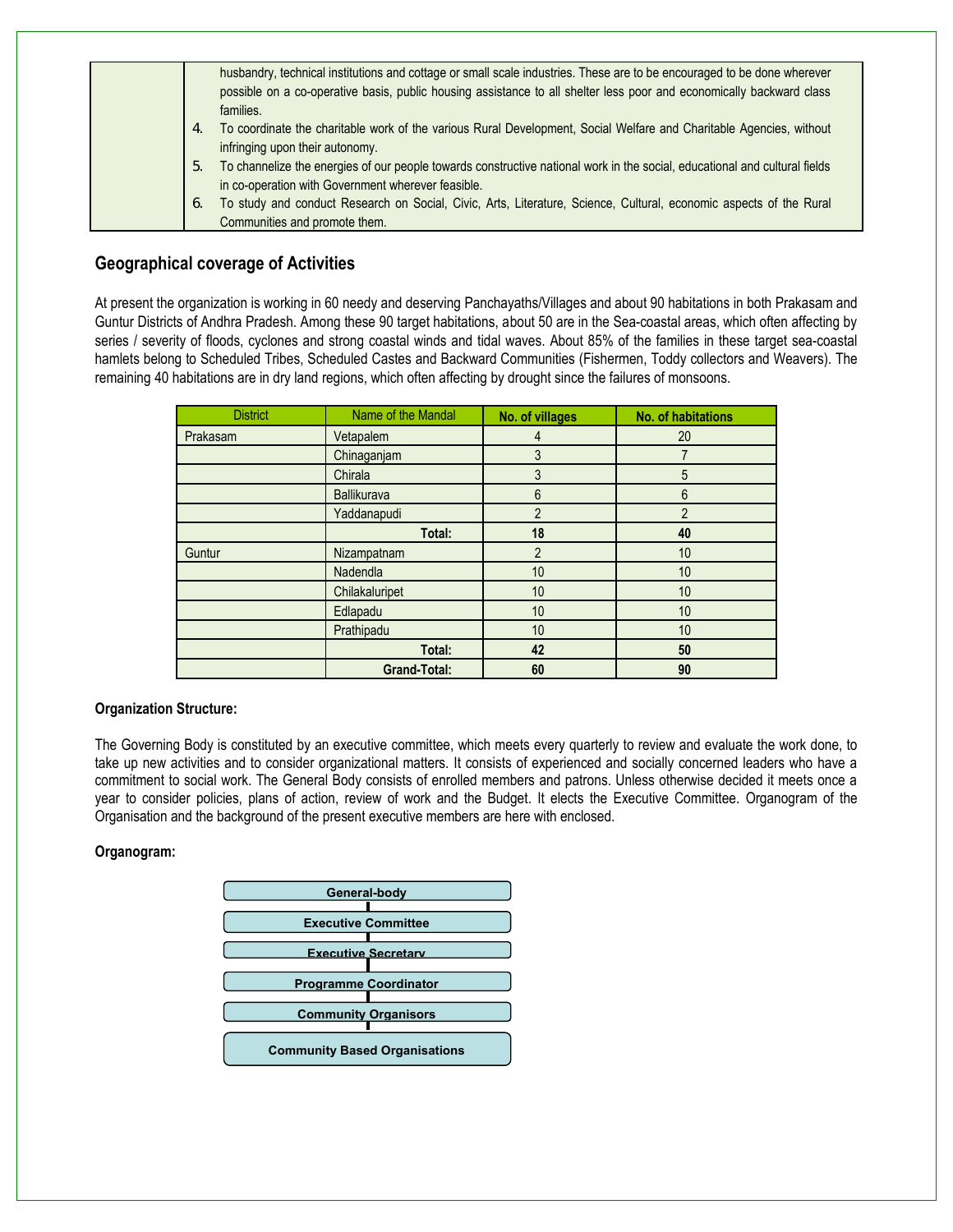| husbandry, technical institutions and cottage or small scale industries. These are to be encouraged to be done wherever<br>possible on a co-operative basis, public housing assistance to all shelter less poor and economically backward class<br>families. |
|--------------------------------------------------------------------------------------------------------------------------------------------------------------------------------------------------------------------------------------------------------------|
| To coordinate the charitable work of the various Rural Development, Social Welfare and Charitable Agencies, without<br>4.<br>infringing upon their autonomy.                                                                                                 |
| To channelize the energies of our people towards constructive national work in the social, educational and cultural fields<br>5.<br>in co-operation with Government wherever feasible.                                                                       |
| To study and conduct Research on Social, Civic, Arts, Literature, Science, Cultural, economic aspects of the Rural<br>6.<br>Communities and promote them.                                                                                                    |

### **Geographical coverage of Activities**

At present the organization is working in 60 needy and deserving Panchayaths/Villages and about 90 habitations in both Prakasam and Guntur Districts of Andhra Pradesh. Among these 90 target habitations, about 50 are in the Sea-coastal areas, which often affecting by series / severity of floods, cyclones and strong coastal winds and tidal waves. About 85% of the families in these target sea-coastal hamlets belong to Scheduled Tribes, Scheduled Castes and Backward Communities (Fishermen, Toddy collectors and Weavers). The remaining 40 habitations are in dry land regions, which often affecting by drought since the failures of monsoons.

| <b>District</b> | Name of the Mandal  | No. of villages | <b>No. of habitations</b> |
|-----------------|---------------------|-----------------|---------------------------|
| Prakasam        | Vetapalem           | 4               | 20                        |
|                 | Chinaganjam         | 3               |                           |
|                 | Chirala             | 3               | 5                         |
|                 | <b>Ballikurava</b>  | 6               | 6                         |
|                 | Yaddanapudi         | 2               | $\overline{2}$            |
|                 | Total:              | 18              | 40                        |
| Guntur          | Nizampatnam         | 2               | 10                        |
|                 | Nadendla            | 10              | 10                        |
|                 | Chilakaluripet      | 10              | 10                        |
|                 | Edlapadu            | 10              | 10                        |
|                 | Prathipadu          | 10              | 10                        |
|                 | Total:              | 42              | 50                        |
|                 | <b>Grand-Total:</b> | 60              | 90                        |

#### **Organization Structure:**

The Governing Body is constituted by an executive committee, which meets every quarterly to review and evaluate the work done, to take up new activities and to consider organizational matters. It consists of experienced and socially concerned leaders who have a commitment to social work. The General Body consists of enrolled members and patrons. Unless otherwise decided it meets once a year to consider policies, plans of action, review of work and the Budget. It elects the Executive Committee. Organogram of the Organisation and the background of the present executive members are here with enclosed.

#### **Organogram:**

| General-body                         |  |
|--------------------------------------|--|
|                                      |  |
| <b>Executive Committee</b>           |  |
|                                      |  |
| <b>Executive Secretary</b>           |  |
|                                      |  |
| <b>Programme Coordinator</b>         |  |
|                                      |  |
| <b>Community Organisors</b>          |  |
|                                      |  |
| <b>Community Based Organisations</b> |  |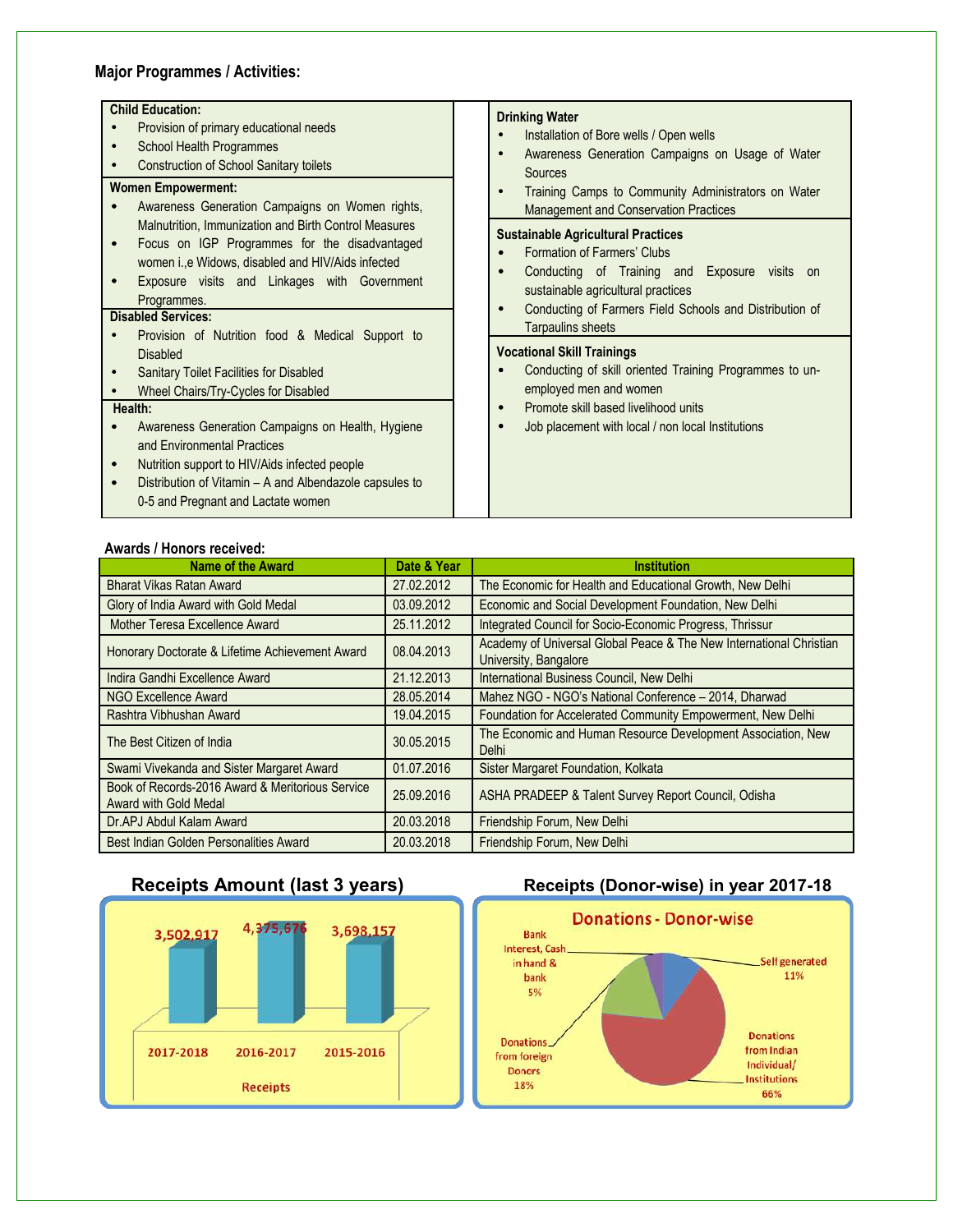### **Major Programmes / Activities:**

| <b>Child Education:</b>                                                                                                                                                                                                                         | <b>Drinking Water</b>                                                                                                                                           |
|-------------------------------------------------------------------------------------------------------------------------------------------------------------------------------------------------------------------------------------------------|-----------------------------------------------------------------------------------------------------------------------------------------------------------------|
| Provision of primary educational needs                                                                                                                                                                                                          | Installation of Bore wells / Open wells                                                                                                                         |
| School Health Programmes<br><b>Construction of School Sanitary toilets</b>                                                                                                                                                                      | Awareness Generation Campaigns on Usage of Water<br>Sources                                                                                                     |
| <b>Women Empowerment:</b><br>Awareness Generation Campaigns on Women rights,                                                                                                                                                                    | Training Camps to Community Administrators on Water<br><b>Management and Conservation Practices</b>                                                             |
| Malnutrition, Immunization and Birth Control Measures<br>Focus on IGP Programmes for the disadvantaged<br>$\bullet$<br>women i., e Widows, disabled and HIV/Aids infected<br>Exposure visits and Linkages with Government<br>Programmes.        | <b>Sustainable Agricultural Practices</b><br>Formation of Farmers' Clubs<br>Conducting of Training and Exposure visits on<br>sustainable agricultural practices |
| <b>Disabled Services:</b>                                                                                                                                                                                                                       | Conducting of Farmers Field Schools and Distribution of<br>Tarpaulins sheets                                                                                    |
| Provision of Nutrition food & Medical Support to<br><b>Disabled</b><br>Sanitary Toilet Facilities for Disabled<br>Wheel Chairs/Try-Cycles for Disabled                                                                                          | <b>Vocational Skill Trainings</b><br>Conducting of skill oriented Training Programmes to un-<br>employed men and women                                          |
| Health:                                                                                                                                                                                                                                         | Promote skill based livelihood units                                                                                                                            |
| Awareness Generation Campaigns on Health, Hygiene<br>and Environmental Practices<br>Nutrition support to HIV/Aids infected people<br>$\bullet$<br>Distribution of Vitamin - A and Albendazole capsules to<br>0-5 and Pregnant and Lactate women | Job placement with local / non local Institutions                                                                                                               |

#### **Awards / Honors received:**

| <b>Name of the Award</b>                                                  | Date & Year | <b>Institution</b>                                                                           |
|---------------------------------------------------------------------------|-------------|----------------------------------------------------------------------------------------------|
| <b>Bharat Vikas Ratan Award</b>                                           | 27.02.2012  | The Economic for Health and Educational Growth, New Delhi                                    |
| Glory of India Award with Gold Medal                                      | 03.09.2012  | Economic and Social Development Foundation, New Delhi                                        |
| Mother Teresa Excellence Award                                            | 25.11.2012  | Integrated Council for Socio-Economic Progress, Thrissur                                     |
| Honorary Doctorate & Lifetime Achievement Award                           | 08.04.2013  | Academy of Universal Global Peace & The New International Christian<br>University, Bangalore |
| Indira Gandhi Excellence Award                                            | 21.12.2013  | International Business Council, New Delhi                                                    |
| NGO Excellence Award                                                      | 28.05.2014  | Mahez NGO - NGO's National Conference - 2014, Dharwad                                        |
| Rashtra Vibhushan Award                                                   | 19.04.2015  | Foundation for Accelerated Community Empowerment, New Delhi                                  |
| The Best Citizen of India                                                 | 30.05.2015  | The Economic and Human Resource Development Association, New<br><b>Delhi</b>                 |
| Swami Vivekanda and Sister Margaret Award                                 | 01.07.2016  | Sister Margaret Foundation, Kolkata                                                          |
| Book of Records-2016 Award & Meritorious Service<br>Award with Gold Medal | 25.09.2016  | ASHA PRADEEP & Talent Survey Report Council, Odisha                                          |
| Dr.APJ Abdul Kalam Award                                                  | 20.03.2018  | Friendship Forum, New Delhi                                                                  |
| Best Indian Golden Personalities Award                                    | 20.03.2018  | Friendship Forum, New Delhi                                                                  |

### **Receipts Amount (last 3 years) Receipts (Donor-wise) in year 2017-18**



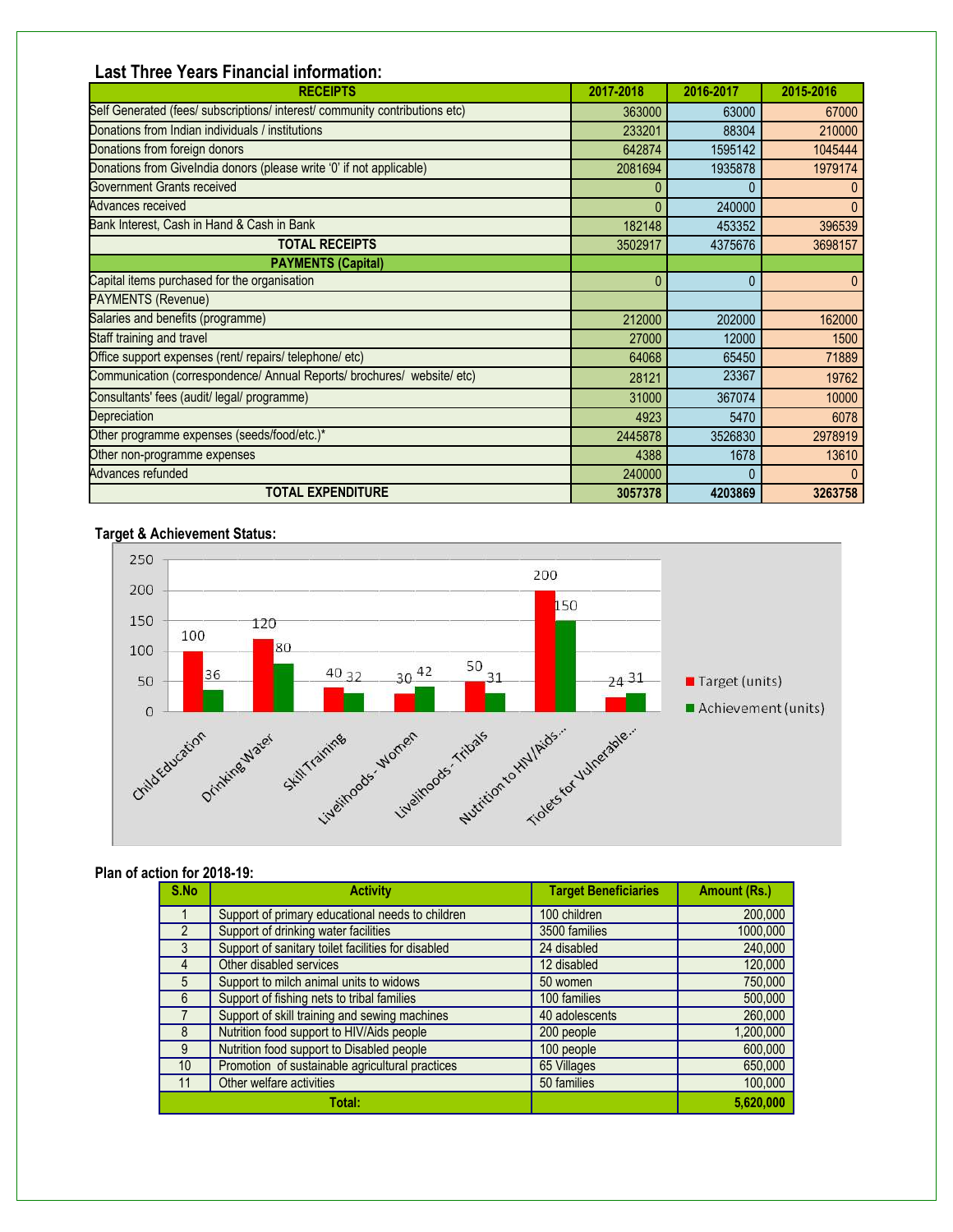## **Last Three Years Financial information:**

| <b>RECEIPTS</b>                                                             | 2017-2018 | 2016-2017 | 2015-2016    |
|-----------------------------------------------------------------------------|-----------|-----------|--------------|
| Self Generated (fees/ subscriptions/ interest/ community contributions etc) | 363000    | 63000     | 67000        |
| Donations from Indian individuals / institutions                            | 233201    | 88304     | 210000       |
| Donations from foreign donors                                               | 642874    | 1595142   | 1045444      |
| Donations from Givelndia donors (please write '0' if not applicable)        | 2081694   | 1935878   | 1979174      |
| Government Grants received                                                  |           |           |              |
| Advances received                                                           | 0         | 240000    | $\mathbf{0}$ |
| Bank Interest, Cash in Hand & Cash in Bank                                  | 182148    | 453352    | 396539       |
| <b>TOTAL RECEIPTS</b>                                                       | 3502917   | 4375676   | 3698157      |
| <b>PAYMENTS (Capital)</b>                                                   |           |           |              |
| Capital items purchased for the organisation                                | 0         | 0         | $\mathbf{0}$ |
| PAYMENTS (Revenue)                                                          |           |           |              |
| Salaries and benefits (programme)                                           | 212000    | 202000    | 162000       |
| Staff training and travel                                                   | 27000     | 12000     | 1500         |
| Office support expenses (rent/ repairs/ telephone/ etc)                     | 64068     | 65450     | 71889        |
| Communication (correspondence/ Annual Reports/ brochures/ website/ etc)     | 28121     | 23367     | 19762        |
| Consultants' fees (audit/ legal/ programme)                                 | 31000     | 367074    | 10000        |
| Depreciation                                                                | 4923      | 5470      | 6078         |
| Other programme expenses (seeds/food/etc.)*                                 | 2445878   | 3526830   | 2978919      |
| Other non-programme expenses                                                | 4388      | 1678      | 13610        |
| Advances refunded                                                           | 240000    | 0         | $\Omega$     |
| <b>TOTAL EXPENDITURE</b>                                                    | 3057378   | 4203869   | 3263758      |

#### **Target & Achievement Status:**



#### **Plan of action for 2018-19:**

| S.No            | <b>Activity</b>                                    | <b>Target Beneficiaries</b> | <b>Amount (Rs.)</b> |
|-----------------|----------------------------------------------------|-----------------------------|---------------------|
|                 | Support of primary educational needs to children   | 100 children                | 200,000             |
|                 | Support of drinking water facilities               | 3500 families               | 1000,000            |
| $\mathcal{S}$   | Support of sanitary toilet facilities for disabled | 24 disabled                 | 240,000             |
| 4               | Other disabled services                            | 12 disabled                 | 120,000             |
| 5               | Support to milch animal units to widows            | 50 women                    | 750,000             |
| 6               | Support of fishing nets to tribal families         | 100 families                | 500,000             |
|                 | Support of skill training and sewing machines      | 40 adolescents              | 260,000             |
| 8               | Nutrition food support to HIV/Aids people          | 200 people                  | 1,200,000           |
| 9               | Nutrition food support to Disabled people          | 100 people                  | 600,000             |
| 10 <sup>°</sup> | Promotion of sustainable agricultural practices    | 65 Villages                 | 650,000             |
| 11              | Other welfare activities                           | 50 families                 | 100,000             |
|                 | Total:                                             |                             | 5,620,000           |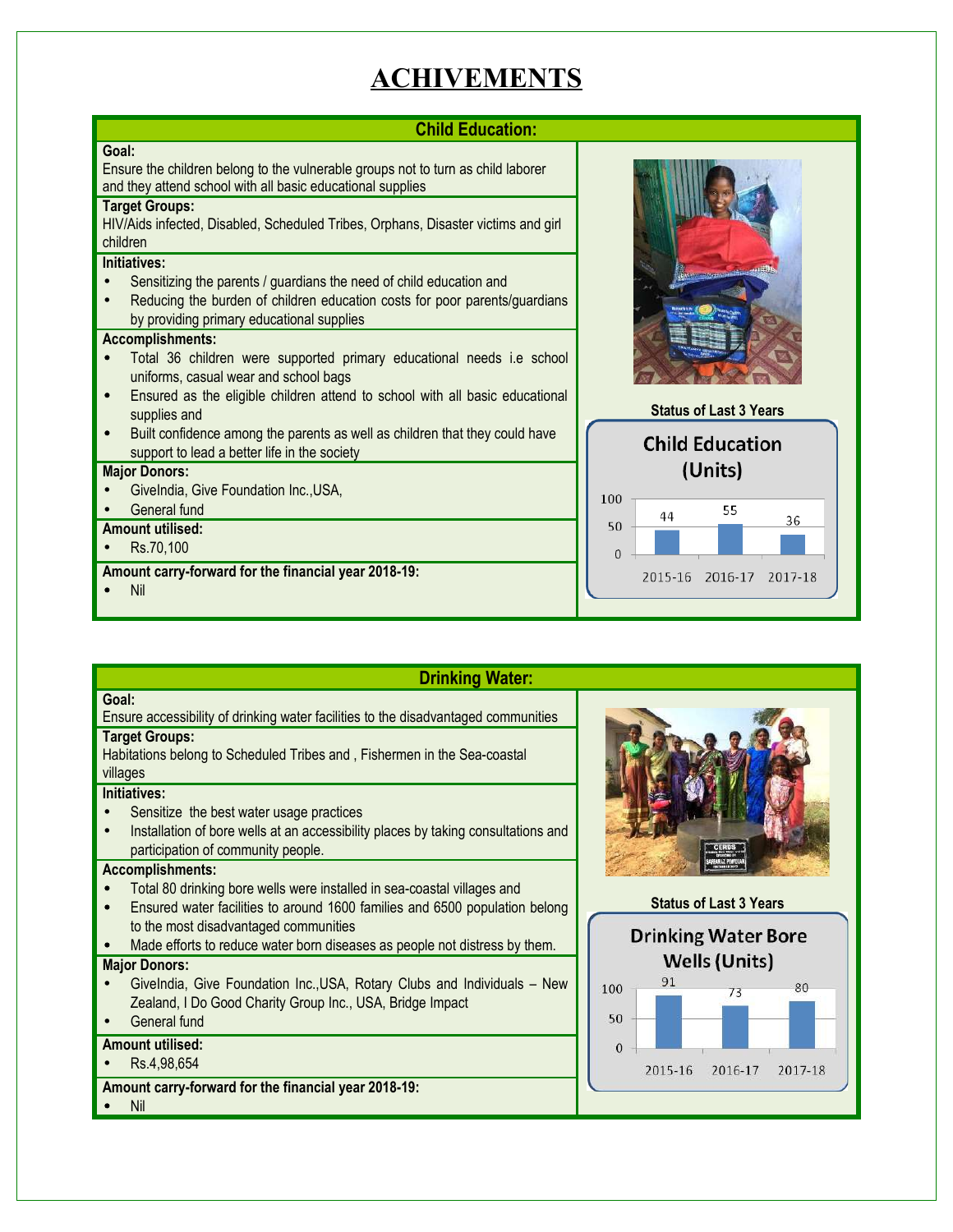# **ACHIVEMENTS**

#### **Child Education: Goal:**  Ensure the children belong to the vulnerable groups not to turn as child laborer and they attend school with all basic educational supplies **Target Groups:**  HIV/Aids infected, Disabled, Scheduled Tribes, Orphans, Disaster victims and girl children **Initiatives:**  Sensitizing the parents / guardians the need of child education and Reducing the burden of children education costs for poor parents/guardians by providing primary educational supplies **Accomplishments:** • Total 36 children were supported primary educational needs i.e school uniforms, casual wear and school bags **•** Ensured as the eligible children attend to school with all basic educational **Status of Last 3 Years** supplies and • Built confidence among the parents as well as children that they could have **Child Education** support to lead a better life in the society (Units) **Major Donors:** • GiveIndia, Give Foundation Inc.,USA, 100 General fund 55 44 36 50 **Amount utilised:** • Rs.70,100  $\mathsf{O}\xspace$ **Amount carry-forward for the financial year 2018-19:** 2015-16 2016-17 2017-18 • Nil

| <b>Drinking Water:</b>                                                                                                                                                                                                                                                                                                |                                                             |
|-----------------------------------------------------------------------------------------------------------------------------------------------------------------------------------------------------------------------------------------------------------------------------------------------------------------------|-------------------------------------------------------------|
| Goal:<br>Ensure accessibility of drinking water facilities to the disadvantaged communities<br><b>Target Groups:</b><br>Habitations belong to Scheduled Tribes and, Fishermen in the Sea-coastal<br>villages                                                                                                          |                                                             |
| Initiatives:<br>Sensitize the best water usage practices<br>Installation of bore wells at an accessibility places by taking consultations and<br>participation of community people.                                                                                                                                   |                                                             |
| <b>Accomplishments:</b><br>Total 80 drinking bore wells were installed in sea-coastal villages and<br>Ensured water facilities to around 1600 families and 6500 population belong<br>$\bullet$<br>to the most disadvantaged communities<br>Made efforts to reduce water born diseases as people not distress by them. | <b>Status of Last 3 Years</b><br><b>Drinking Water Bore</b> |
| <b>Major Donors:</b><br>Givelndia, Give Foundation Inc., USA, Rotary Clubs and Individuals - New<br>Zealand, I Do Good Charity Group Inc., USA, Bridge Impact<br>General fund                                                                                                                                         | <b>Wells (Units)</b><br>91<br>80<br>100<br>73<br>50         |
| <b>Amount utilised:</b><br>Rs.4,98,654<br>Amount carry-forward for the financial year 2018-19:<br>Nil                                                                                                                                                                                                                 | $\Omega$<br>2015-16<br>2016-17<br>2017-18                   |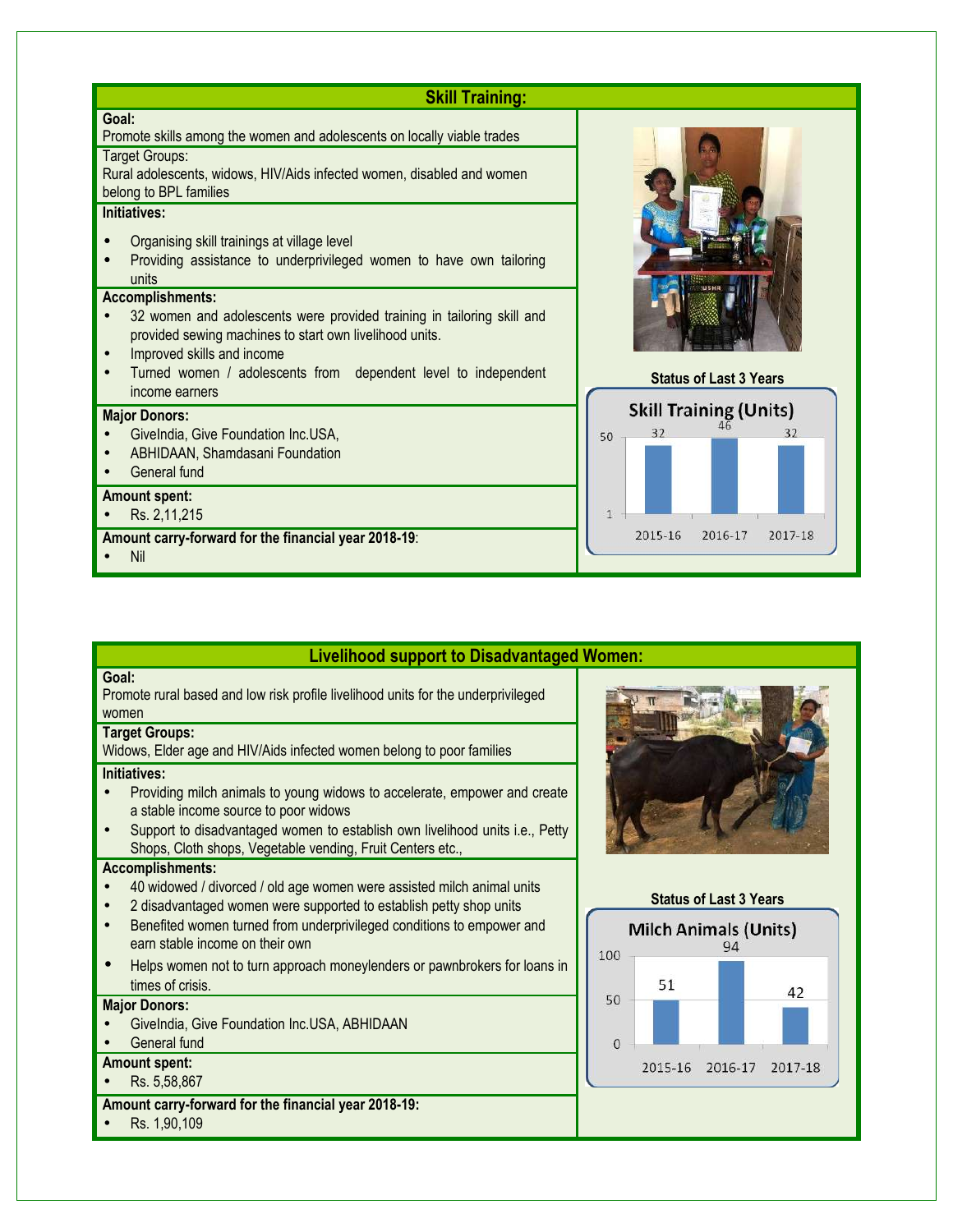| <b>Skill Training:</b>                                                                                                                                                                                                                                                         |                                     |
|--------------------------------------------------------------------------------------------------------------------------------------------------------------------------------------------------------------------------------------------------------------------------------|-------------------------------------|
| Goal:<br>Promote skills among the women and adolescents on locally viable trades                                                                                                                                                                                               |                                     |
| Target Groups:<br>Rural adolescents, widows, HIV/Aids infected women, disabled and women<br>belong to BPL families                                                                                                                                                             |                                     |
| Initiatives:<br>Organising skill trainings at village level<br>Providing assistance to underprivileged women to have own tailoring<br>units                                                                                                                                    |                                     |
| <b>Accomplishments:</b><br>32 women and adolescents were provided training in tailoring skill and<br>provided sewing machines to start own livelihood units.<br>Improved skills and income<br>Turned women / adolescents from dependent level to independent<br>income earners | <b>Status of Last 3 Years</b>       |
| <b>Major Donors:</b><br>Givelndia, Give Foundation Inc.USA,                                                                                                                                                                                                                    | <b>Skill Training (Units)</b><br>50 |
| ABHIDAAN, Shamdasani Foundation<br>General fund                                                                                                                                                                                                                                |                                     |
| <b>Amount spent:</b><br>Rs. 2,11,215                                                                                                                                                                                                                                           |                                     |
| Amount carry-forward for the financial year 2018-19:<br><b>Nil</b>                                                                                                                                                                                                             | 2015-16<br>2016-17<br>2017-18       |

### **Livelihood support to Disadvantaged Women:**

#### **Goal:**

Promote rural based and low risk profile livelihood units for the underprivileged women

#### **Target Groups:**

Widows, Elder age and HIV/Aids infected women belong to poor families

#### **Initiatives:**

- Providing milch animals to young widows to accelerate, empower and create a stable income source to poor widows
- Support to disadvantaged women to establish own livelihood units i.e., Petty Shops, Cloth shops, Vegetable vending, Fruit Centers etc.,

#### **Accomplishments:**

- 40 widowed / divorced / old age women were assisted milch animal units
- 2 disadvantaged women were supported to establish petty shop units
- Benefited women turned from underprivileged conditions to empower and earn stable income on their own
- Helps women not to turn approach moneylenders or pawnbrokers for loans in times of crisis.

#### **Major Donors:**

• GiveIndia, Give Foundation Inc.USA, ABHIDAAN

### General fund

- **Amount spent:**
- Rs. 5,58,867
- **Amount carry-forward for the financial year 2018-19:**
- Rs. 1,90,109



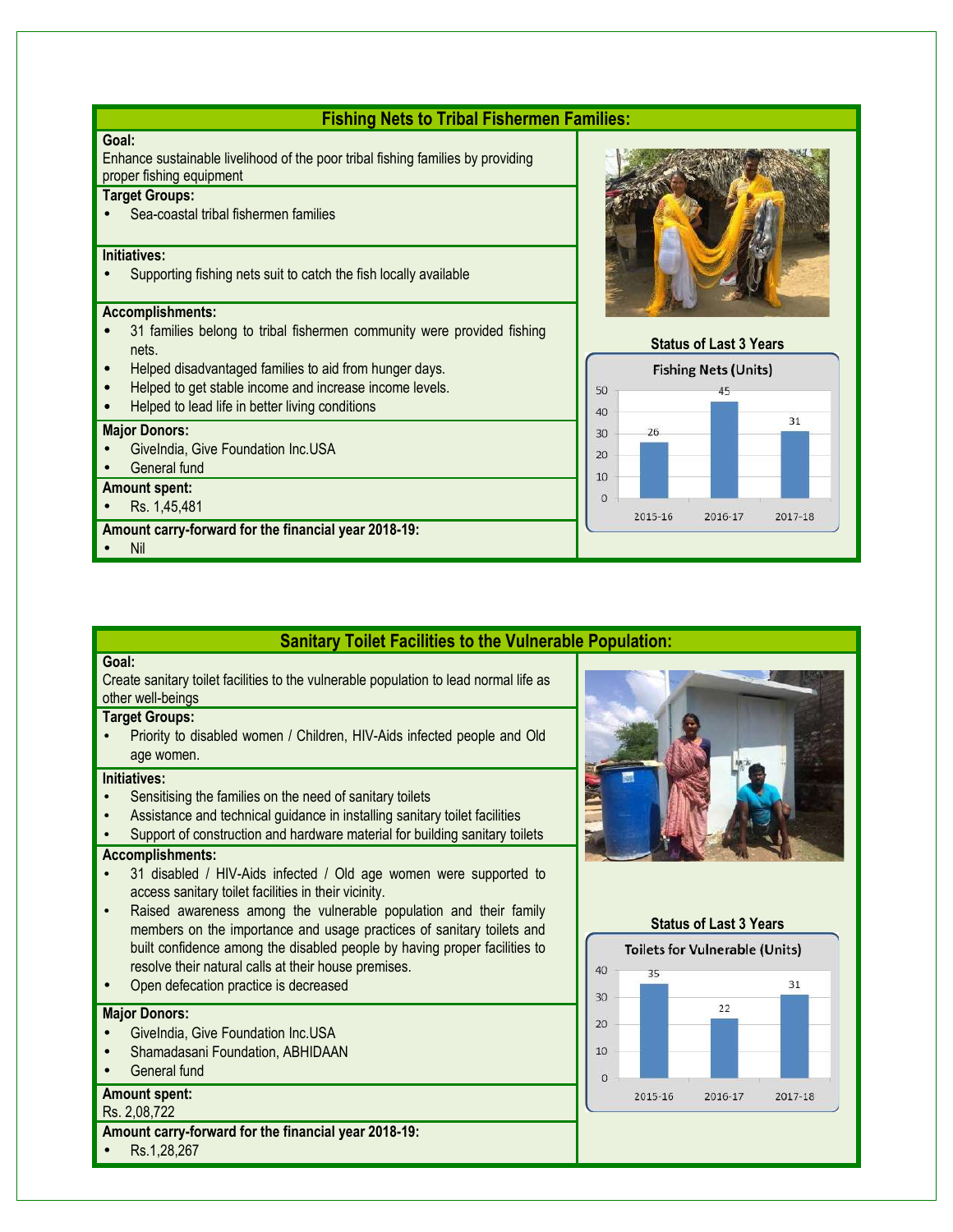| <b>Fishing Nets to Tribal Fishermen Families:</b>                                                                    |                                                 |  |
|----------------------------------------------------------------------------------------------------------------------|-------------------------------------------------|--|
| Goal:<br>Enhance sustainable livelihood of the poor tribal fishing families by providing<br>proper fishing equipment |                                                 |  |
| <b>Target Groups:</b>                                                                                                |                                                 |  |
| Sea-coastal tribal fishermen families                                                                                |                                                 |  |
| Initiatives:                                                                                                         |                                                 |  |
| Supporting fishing nets suit to catch the fish locally available                                                     |                                                 |  |
| <b>Accomplishments:</b>                                                                                              |                                                 |  |
| 31 families belong to tribal fishermen community were provided fishing<br>nets.                                      | <b>Status of Last 3 Years</b>                   |  |
| Helped disadvantaged families to aid from hunger days.<br>$\bullet$                                                  | <b>Fishing Nets (Units)</b>                     |  |
| Helped to get stable income and increase income levels.<br>$\bullet$                                                 | 50                                              |  |
| Helped to lead life in better living conditions                                                                      | 40                                              |  |
| <b>Major Donors:</b>                                                                                                 | 31<br>26<br>30                                  |  |
| Givelndia, Give Foundation Inc.USA                                                                                   |                                                 |  |
| General fund                                                                                                         | 20                                              |  |
| <b>Amount spent:</b>                                                                                                 | 10                                              |  |
| Rs. 1,45,481                                                                                                         | $\overline{O}$<br>2015-16<br>2016-17<br>2017-18 |  |
| Amount carry-forward for the financial year 2018-19:                                                                 |                                                 |  |
| Nil                                                                                                                  |                                                 |  |

### **Sanitary Toilet Facilities to the Vulnerable Population:**

#### **Goal:**

Create sanitary toilet facilities to the vulnerable population to lead normal life as other well-beings

#### **Target Groups:**

• Priority to disabled women / Children, HIV-Aids infected people and Old age women.

#### **Initiatives:**

- Sensitising the families on the need of sanitary toilets
- Assistance and technical guidance in installing sanitary toilet facilities
- Support of construction and hardware material for building sanitary toilets

#### **Accomplishments:**

- 31 disabled / HIV-Aids infected / Old age women were supported to access sanitary toilet facilities in their vicinity.
- Raised awareness among the vulnerable population and their family members on the importance and usage practices of sanitary toilets and built confidence among the disabled people by having proper facilities to resolve their natural calls at their house premises.
- Open defecation practice is decreased

#### **Major Donors:**

- GiveIndia, Give Foundation Inc.USA
- Shamadasani Foundation, ABHIDAAN
- General fund

#### **Amount spent:**

#### Rs. 2,08,722

- **Amount carry-forward for the financial year 2018-19:**
- Rs.1,28,267



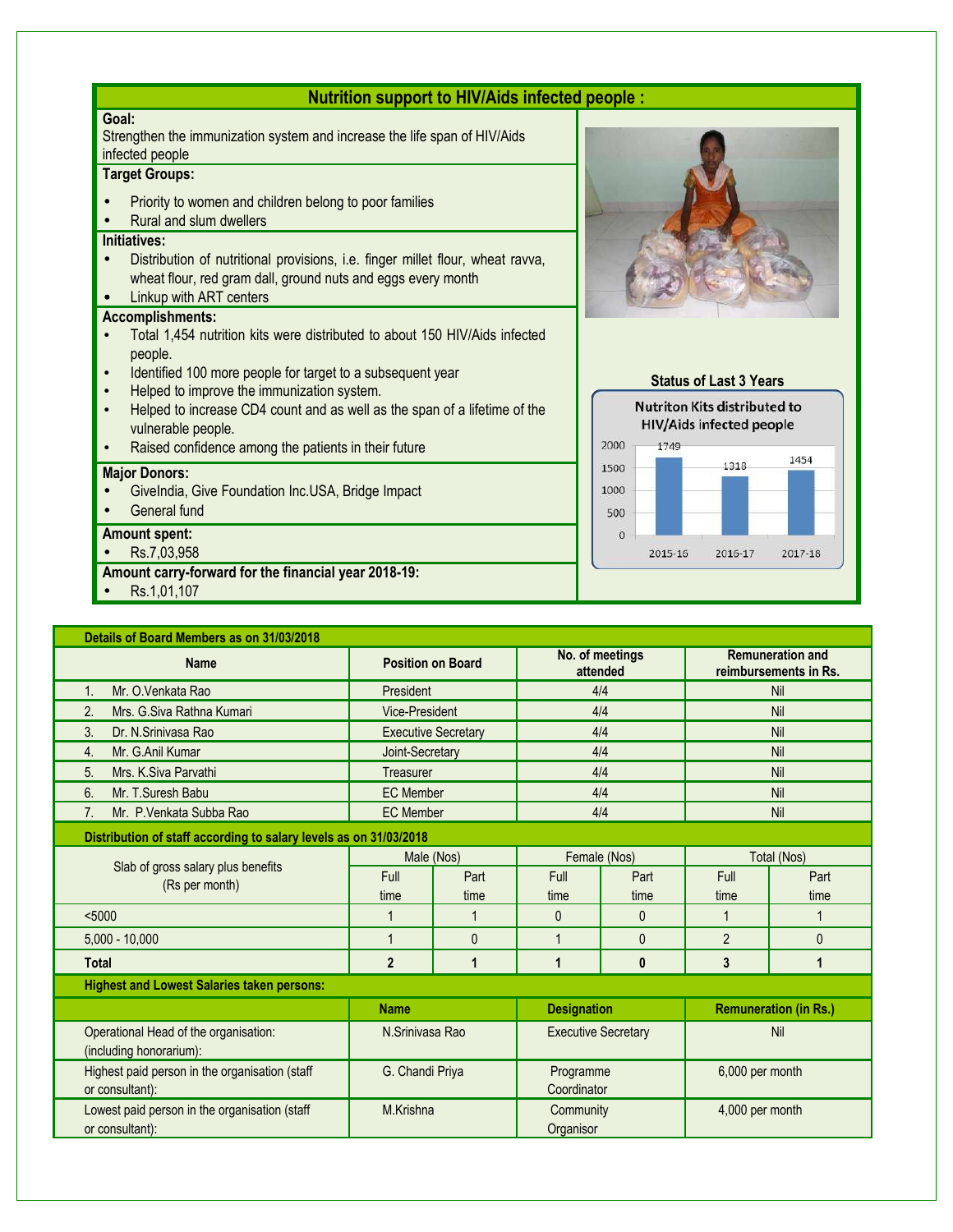| <b>Nutrition support to HIV/Aids infected people:</b>                                                                                                                                     |                                                                        |  |  |  |
|-------------------------------------------------------------------------------------------------------------------------------------------------------------------------------------------|------------------------------------------------------------------------|--|--|--|
| Goal:<br>Strengthen the immunization system and increase the life span of HIV/Aids<br>infected people                                                                                     |                                                                        |  |  |  |
| <b>Target Groups:</b>                                                                                                                                                                     |                                                                        |  |  |  |
| Priority to women and children belong to poor families                                                                                                                                    |                                                                        |  |  |  |
| Rural and slum dwellers                                                                                                                                                                   |                                                                        |  |  |  |
| Initiatives:<br>Distribution of nutritional provisions, i.e. finger millet flour, wheat ravva,<br>wheat flour, red gram dall, ground nuts and eggs every month<br>Linkup with ART centers |                                                                        |  |  |  |
| <b>Accomplishments:</b>                                                                                                                                                                   |                                                                        |  |  |  |
| Total 1,454 nutrition kits were distributed to about 150 HIV/Aids infected                                                                                                                |                                                                        |  |  |  |
| people.<br>Identified 100 more people for target to a subsequent year                                                                                                                     |                                                                        |  |  |  |
| $\bullet$<br>Helped to improve the immunization system.                                                                                                                                   | <b>Status of Last 3 Years</b>                                          |  |  |  |
| Helped to increase CD4 count and as well as the span of a lifetime of the<br>vulnerable people.                                                                                           | <b>Nutriton Kits distributed to</b><br><b>HIV/Aids infected people</b> |  |  |  |
| Raised confidence among the patients in their future                                                                                                                                      | 2000<br>1749                                                           |  |  |  |
| <b>Major Donors:</b>                                                                                                                                                                      | 1454<br>1318<br>1500                                                   |  |  |  |
| Givelndia, Give Foundation Inc.USA, Bridge Impact                                                                                                                                         | 1000                                                                   |  |  |  |
| General fund                                                                                                                                                                              | 500                                                                    |  |  |  |
| <b>Amount spent:</b>                                                                                                                                                                      | $\overline{0}$                                                         |  |  |  |
| Rs.7,03,958                                                                                                                                                                               | 2015-16<br>2016-17<br>2017-18                                          |  |  |  |
| Amount carry-forward for the financial year 2018-19:                                                                                                                                      |                                                                        |  |  |  |
| Rs.1,01,107                                                                                                                                                                               |                                                                        |  |  |  |

**Details of Board Members as on 31/03/2018 Name Position on Board No. of meetings attended Remuneration and reimbursements in Rs.** 1. Mr. O.Venkata Rao President President 2004 1/4 Alan Alian Nil 2. Mrs. G.Siva Rathna Kumari **Nille Communist Communist Communist Communist Communist Communist Communist Communist Communist Communist Communist Communist Communist Communist Communist Communist Communist Communist Commun** 3. Dr. N.Srinivasa Rao **Executive Secretary 1988** All 1998 All 1998 All 1998 All 1998 All 1998 All 1998 All 1998 All 1998 All 1998 All 1998 All 1998 All 1998 All 1999 All 1999 All 1999 All 1999 All 1999 All 1999 All 1999 A 4. Mr. G.Anil Kumar Joint-Secretary 4/4 Nil 5. Mrs. K.Siva Parvathi Treasurer 4/4 Nil 6. Mr. T.Suresh Babu **EC Member 1999** EC Member **1999 Alta Alta Advisor Advisor** Nil 7. Mr. P.Venkata Subba Rao **EC Member Nill EC Member** 4/4 4/4 Nil **Distribution of staff according to salary levels as on 31/03/2018** Slab of gross salary plus benefits (Rs per month) Male (Nos)  $\blacksquare$  Female (Nos)  $\blacksquare$  Total (Nos) Full time Part time Full time Part time Full time Part time <5000 1 1 0 0 1 1 5,000 - 1 0 0 1 0 1 0 0 0 2 0 0 **Total 2 1 1 0 3 1 Highest and Lowest Salaries taken persons: Name Remuneration Remuneration (in Rs.) Designation Remuneration (in Rs.)** Operational Head of the organisation: (including honorarium): N.Srinivasa Rao **Executive Secretary Nill** Risearch Nill Highest paid person in the organisation (staff or consultant): G. Chandi Priya Programme **Coordinator** 6,000 per month Lowest paid person in the organisation (staff or consultant): M.Krishna Community **Organisor** 4,000 per month